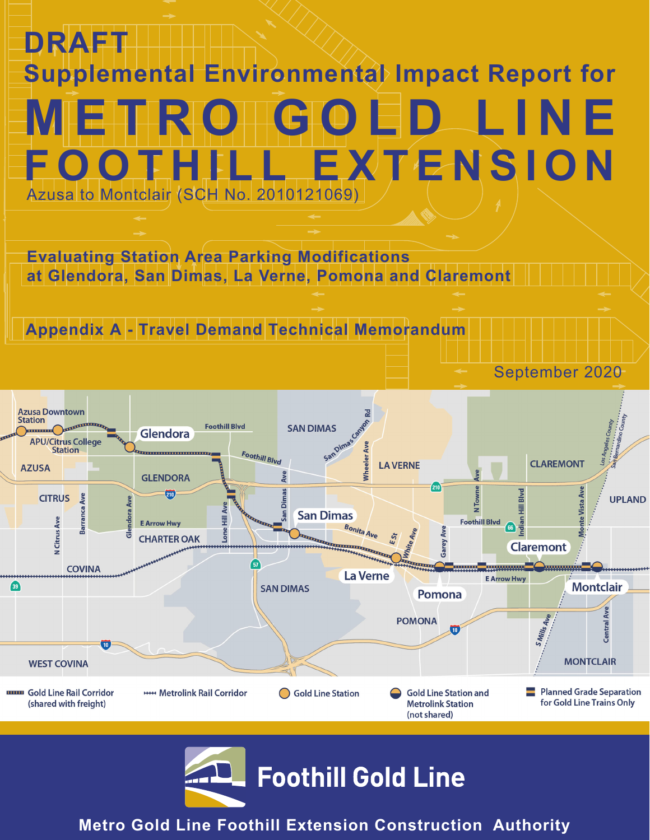# **DRAFT Supplemental Environmental Impact Report for** GOED LINE **FLL EXTENSION** Azusa to Montclair (SCH No. 2010121069)

**Evaluating Station Area Parking Modifications at Glendora, San Dimas, La Verne, Pomona and Claremont** 

# **Appendix A - Travel Demand Technical Memorandum**

**Azusa Downtown Station Foothill Blvd SAN DIMAS** Glendora **APU/Citrus College** SanDima **Station** Foothill Blvd Vheeler **CLAREMONT LA VERNE AZUSA GLENDORA** Ave  $210$ Hill Blvd  $\frac{1}{210}$ **CITRUS** Ave **UPLAND** Barranca **San Dimas N** Citrus Ave 륲 **Foothill Blvd 66** a **E Arrow Hwy Bonita Ave** Ave Lone **CHARTER OAK** Garey **Claremont Communication COVINA La Verne E Arrow Hwy Montclair**  $\sqrt{39}$ **SAN DIMAS** Pomona **POMONA Central**  $\overline{\mathbf{10}}$ **MONTCLAIR WEST COVINA Planned Grade Separation THEORY Gold Line Rail Corridor HHH** Metrolink Rail Corridor Gold Line Station **Gold Line Station and** (shared with freight) **Metrolink Station** for Gold Line Trains Only

September 2020



**Metro Gold Line Foothill Extension Construction Authority**

(not shared)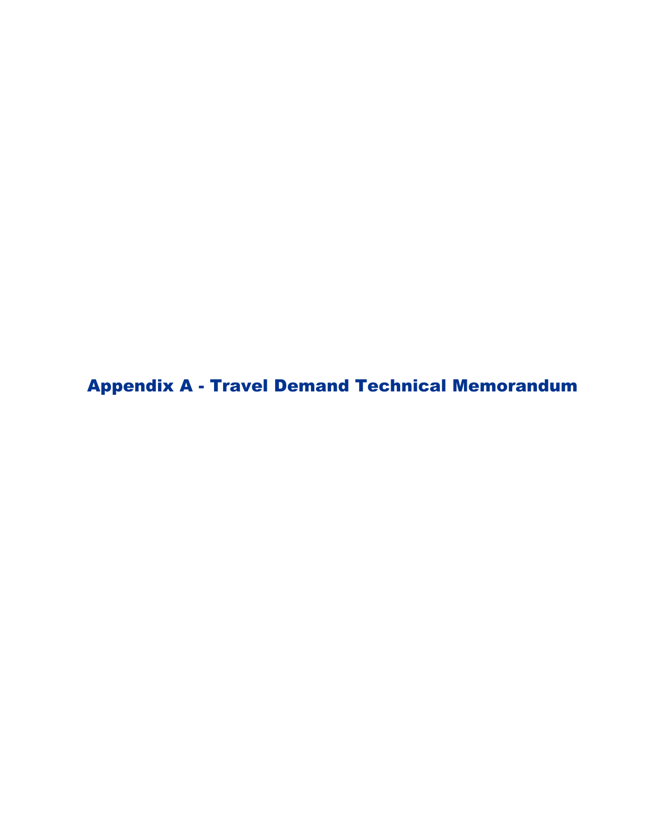Appendix A - Travel Demand Technical Memorandum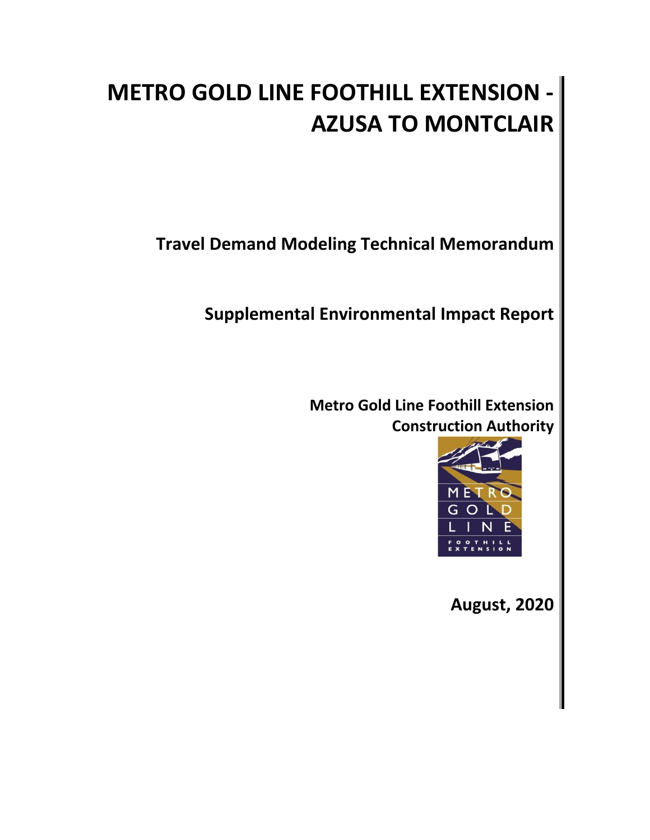# **METRO GOLD LINE FOOTHILL EXTENSION - AZUSA TO MONTCLAIR**

**Travel Demand Modeling Technical Memorandum**

**Supplemental Environmental Impact Report**

**Metro Gold Line Foothill Extension Construction Authority**



**August, 2020**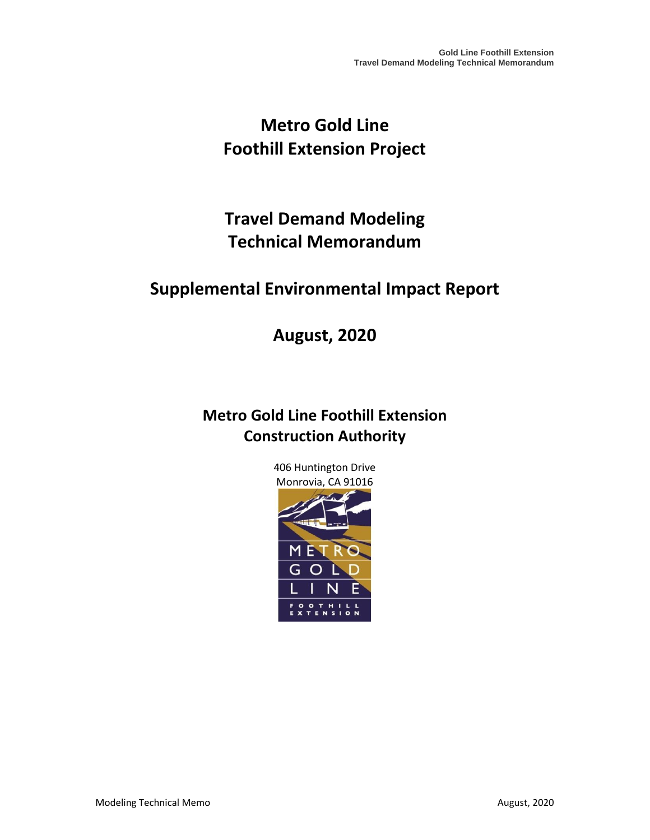# **Metro Gold Line Foothill Extension Project**

# **Travel Demand Modeling Technical Memorandum**

# **Supplemental Environmental Impact Report**

**August, 2020**

# **Metro Gold Line Foothill Extension Construction Authority**

406 Huntington Drive Monrovia, CA 91016

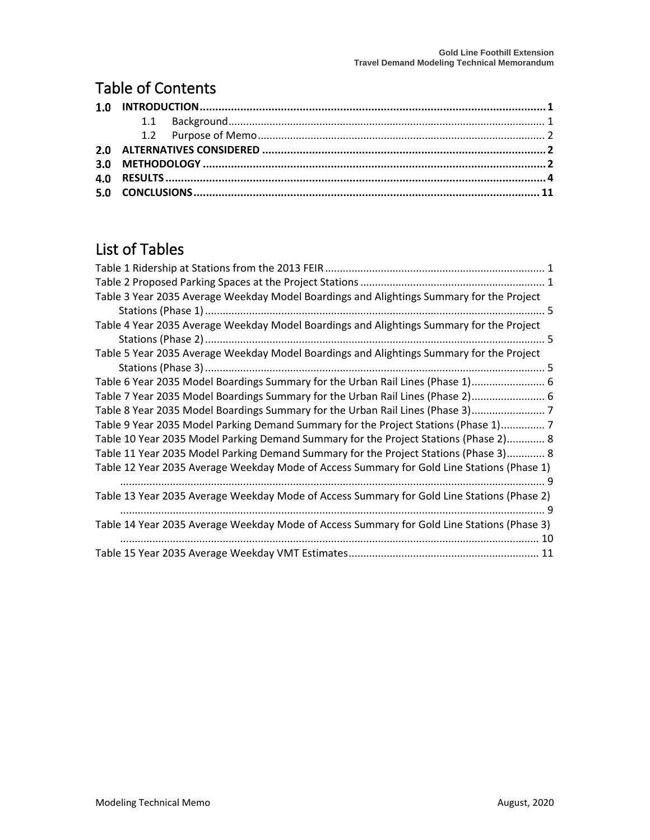## Table of Contents

# List of Tables

| Table 3 Year 2035 Average Weekday Model Boardings and Alightings Summary for the Project   |
|--------------------------------------------------------------------------------------------|
|                                                                                            |
| Table 4 Year 2035 Average Weekday Model Boardings and Alightings Summary for the Project   |
|                                                                                            |
| Table 5 Year 2035 Average Weekday Model Boardings and Alightings Summary for the Project   |
|                                                                                            |
| Table 6 Year 2035 Model Boardings Summary for the Urban Rail Lines (Phase 1) 6             |
| Table 7 Year 2035 Model Boardings Summary for the Urban Rail Lines (Phase 2) 6             |
| Table 8 Year 2035 Model Boardings Summary for the Urban Rail Lines (Phase 3) 7             |
| Table 9 Year 2035 Model Parking Demand Summary for the Project Stations (Phase 1) 7        |
| Table 10 Year 2035 Model Parking Demand Summary for the Project Stations (Phase 2) 8       |
| Table 11 Year 2035 Model Parking Demand Summary for the Project Stations (Phase 3) 8       |
| Table 12 Year 2035 Average Weekday Mode of Access Summary for Gold Line Stations (Phase 1) |
|                                                                                            |
| Table 13 Year 2035 Average Weekday Mode of Access Summary for Gold Line Stations (Phase 2) |
|                                                                                            |
| Table 14 Year 2035 Average Weekday Mode of Access Summary for Gold Line Stations (Phase 3) |
| 10                                                                                         |
|                                                                                            |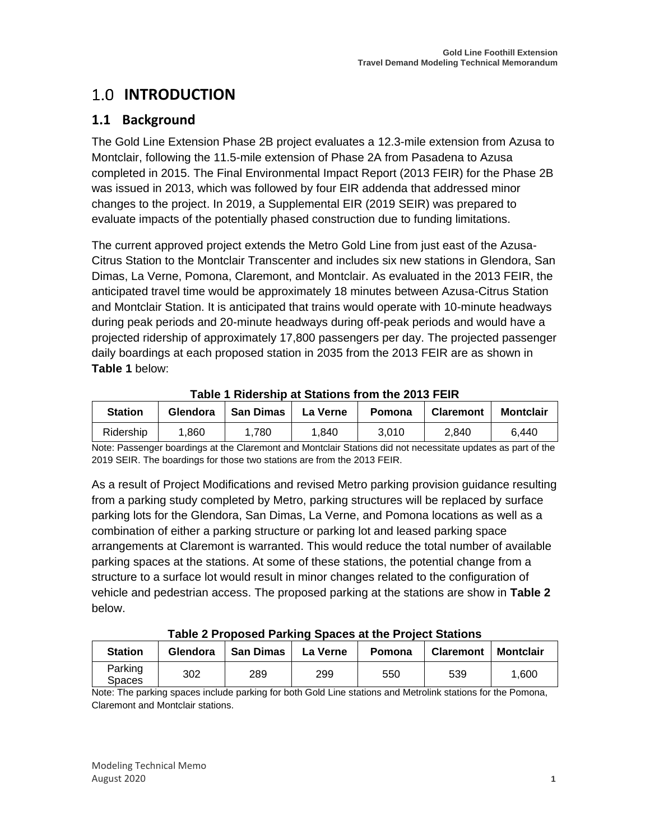## <span id="page-5-0"></span>**1.0 INTRODUCTION**

## <span id="page-5-1"></span>**1.1 Background**

The Gold Line Extension Phase 2B project evaluates a 12.3-mile extension from Azusa to Montclair, following the 11.5-mile extension of Phase 2A from Pasadena to Azusa completed in 2015. The Final Environmental Impact Report (2013 FEIR) for the Phase 2B was issued in 2013, which was followed by four EIR addenda that addressed minor changes to the project. In 2019, a Supplemental EIR (2019 SEIR) was prepared to evaluate impacts of the potentially phased construction due to funding limitations.

The current approved project extends the Metro Gold Line from just east of the Azusa-Citrus Station to the Montclair Transcenter and includes six new stations in Glendora, San Dimas, La Verne, Pomona, Claremont, and Montclair. As evaluated in the 2013 FEIR, the anticipated travel time would be approximately 18 minutes between Azusa-Citrus Station and Montclair Station. It is anticipated that trains would operate with 10-minute headways during peak periods and 20-minute headways during off-peak periods and would have a projected ridership of approximately 17,800 passengers per day. The projected passenger daily boardings at each proposed station in 2035 from the 2013 FEIR are as shown in **[Table 1](#page-5-2)** below:

<span id="page-5-2"></span>

| <b>Station</b> | Glendora | San Dimas | La Verne | Pomona | <b>Claremont</b> | <b>Montclair</b> |  |  |  |  |  |  |  |
|----------------|----------|-----------|----------|--------|------------------|------------------|--|--|--|--|--|--|--|
| Ridership      | .860     | 1.780     | 1.840    | 3.010  | 2.840            | 6.440            |  |  |  |  |  |  |  |

#### **Table 1 Ridership at Stations from the 2013 FEIR**

Note: Passenger boardings at the Claremont and Montclair Stations did not necessitate updates as part of the 2019 SEIR. The boardings for those two stations are from the 2013 FEIR.

As a result of Project Modifications and revised Metro parking provision guidance resulting from a parking study completed by Metro, parking structures will be replaced by surface parking lots for the Glendora, San Dimas, La Verne, and Pomona locations as well as a combination of either a parking structure or parking lot and leased parking space arrangements at Claremont is warranted. This would reduce the total number of available parking spaces at the stations. At some of these stations, the potential change from a structure to a surface lot would result in minor changes related to the configuration of vehicle and pedestrian access. The proposed parking at the stations are show in **[Table 2](#page-5-3)** below.

## **Table 2 Proposed Parking Spaces at the Project Stations**

<span id="page-5-3"></span>

| <b>Station</b>    | Glendora | <b>San Dimas</b> | La Verne | Pomona | <b>Claremont</b> | <b>Montclair</b> |
|-------------------|----------|------------------|----------|--------|------------------|------------------|
| Parking<br>Spaces | 302      | 289              | 299      | 550    | 539              | 1.600            |

Note: The parking spaces include parking for both Gold Line stations and Metrolink stations for the Pomona, Claremont and Montclair stations.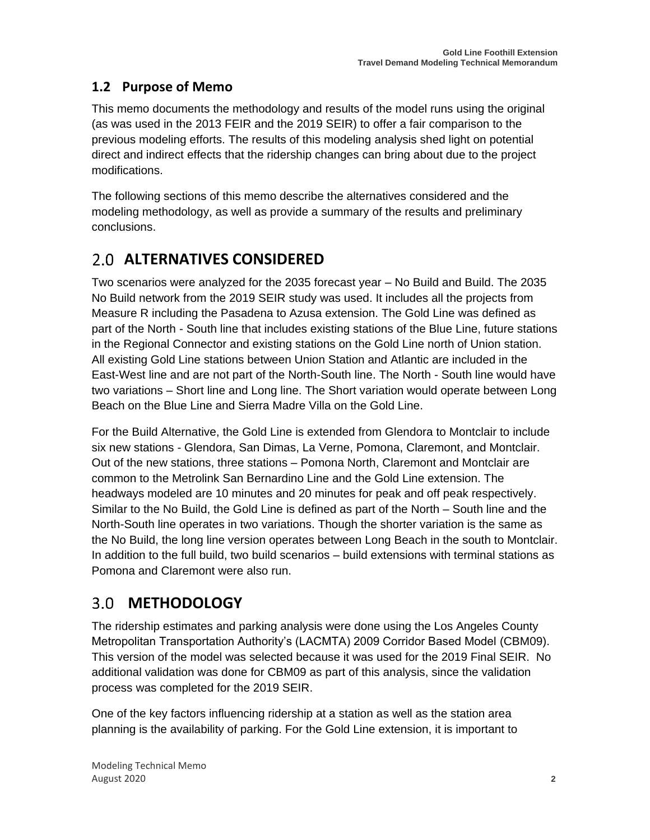## <span id="page-6-0"></span>**1.2 Purpose of Memo**

This memo documents the methodology and results of the model runs using the original (as was used in the 2013 FEIR and the 2019 SEIR) to offer a fair comparison to the previous modeling efforts. The results of this modeling analysis shed light on potential direct and indirect effects that the ridership changes can bring about due to the project modifications.

The following sections of this memo describe the alternatives considered and the modeling methodology, as well as provide a summary of the results and preliminary conclusions.

## <span id="page-6-1"></span>**ALTERNATIVES CONSIDERED**

Two scenarios were analyzed for the 2035 forecast year – No Build and Build. The 2035 No Build network from the 2019 SEIR study was used. It includes all the projects from Measure R including the Pasadena to Azusa extension. The Gold Line was defined as part of the North - South line that includes existing stations of the Blue Line, future stations in the Regional Connector and existing stations on the Gold Line north of Union station. All existing Gold Line stations between Union Station and Atlantic are included in the East-West line and are not part of the North-South line. The North - South line would have two variations – Short line and Long line. The Short variation would operate between Long Beach on the Blue Line and Sierra Madre Villa on the Gold Line.

For the Build Alternative, the Gold Line is extended from Glendora to Montclair to include six new stations - Glendora, San Dimas, La Verne, Pomona, Claremont, and Montclair. Out of the new stations, three stations – Pomona North, Claremont and Montclair are common to the Metrolink San Bernardino Line and the Gold Line extension. The headways modeled are 10 minutes and 20 minutes for peak and off peak respectively. Similar to the No Build, the Gold Line is defined as part of the North – South line and the North-South line operates in two variations. Though the shorter variation is the same as the No Build, the long line version operates between Long Beach in the south to Montclair. In addition to the full build, two build scenarios – build extensions with terminal stations as Pomona and Claremont were also run.

#### <span id="page-6-2"></span> $3.0<sub>1</sub>$ **METHODOLOGY**

The ridership estimates and parking analysis were done using the Los Angeles County Metropolitan Transportation Authority's (LACMTA) 2009 Corridor Based Model (CBM09). This version of the model was selected because it was used for the 2019 Final SEIR. No additional validation was done for CBM09 as part of this analysis, since the validation process was completed for the 2019 SEIR.

One of the key factors influencing ridership at a station as well as the station area planning is the availability of parking. For the Gold Line extension, it is important to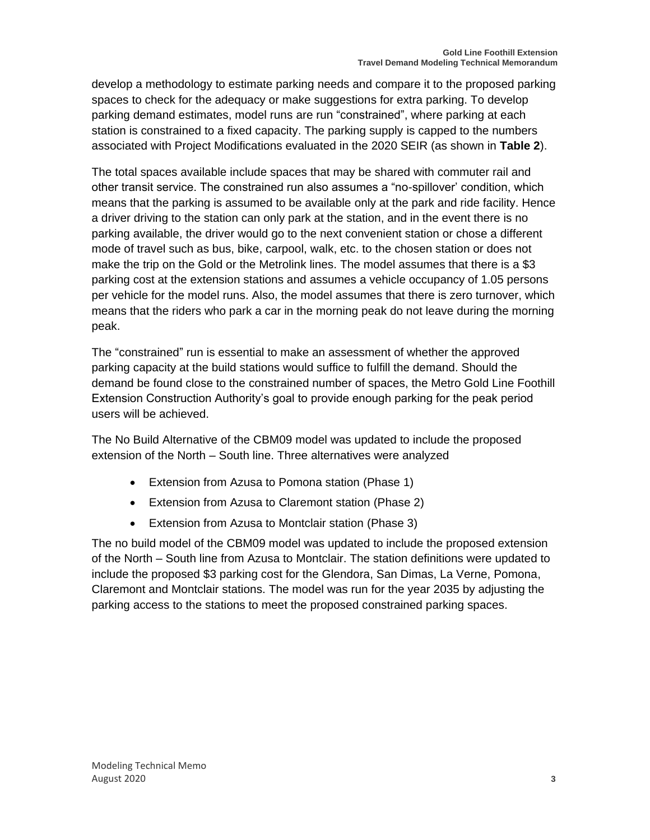develop a methodology to estimate parking needs and compare it to the proposed parking spaces to check for the adequacy or make suggestions for extra parking. To develop parking demand estimates, model runs are run "constrained", where parking at each station is constrained to a fixed capacity. The parking supply is capped to the numbers associated with Project Modifications evaluated in the 2020 SEIR (as shown in **Table 2**).

The total spaces available include spaces that may be shared with commuter rail and other transit service. The constrained run also assumes a "no-spillover' condition, which means that the parking is assumed to be available only at the park and ride facility. Hence a driver driving to the station can only park at the station, and in the event there is no parking available, the driver would go to the next convenient station or chose a different mode of travel such as bus, bike, carpool, walk, etc. to the chosen station or does not make the trip on the Gold or the Metrolink lines. The model assumes that there is a \$3 parking cost at the extension stations and assumes a vehicle occupancy of 1.05 persons per vehicle for the model runs. Also, the model assumes that there is zero turnover, which means that the riders who park a car in the morning peak do not leave during the morning peak.

The "constrained" run is essential to make an assessment of whether the approved parking capacity at the build stations would suffice to fulfill the demand. Should the demand be found close to the constrained number of spaces, the Metro Gold Line Foothill Extension Construction Authority's goal to provide enough parking for the peak period users will be achieved.

The No Build Alternative of the CBM09 model was updated to include the proposed extension of the North – South line. Three alternatives were analyzed

- Extension from Azusa to Pomona station (Phase 1)
- Extension from Azusa to Claremont station (Phase 2)
- Extension from Azusa to Montclair station (Phase 3)

The no build model of the CBM09 model was updated to include the proposed extension of the North – South line from Azusa to Montclair. The station definitions were updated to include the proposed \$3 parking cost for the Glendora, San Dimas, La Verne, Pomona, Claremont and Montclair stations. The model was run for the year 2035 by adjusting the parking access to the stations to meet the proposed constrained parking spaces.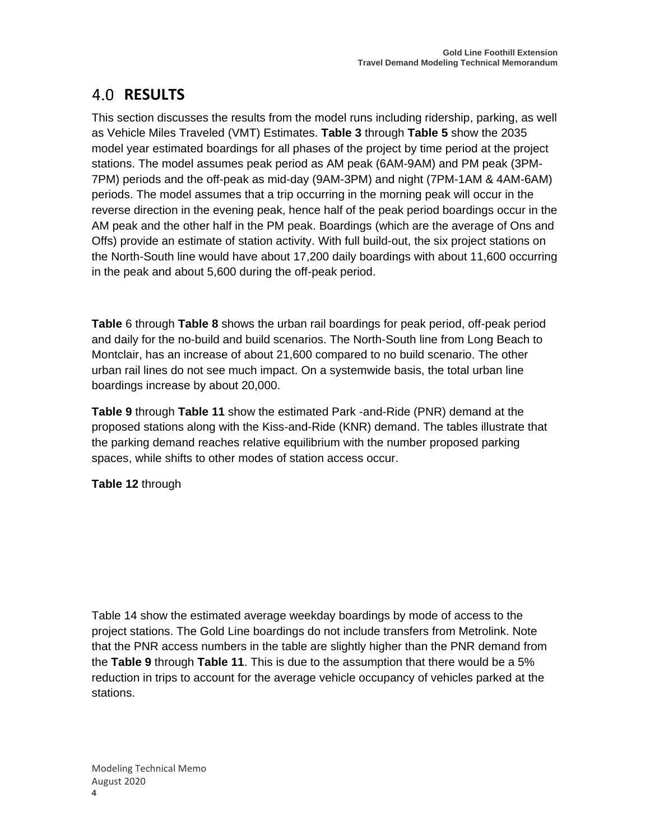## <span id="page-8-0"></span>**RESULTS**

This section discusses the results from the model runs including ridership, parking, as well as Vehicle Miles Traveled (VMT) Estimates. **[Table 3](#page-9-0)** through **[Table 5](#page-9-2)** show the 2035 model year estimated boardings for all phases of the project by time period at the project stations. The model assumes peak period as AM peak (6AM-9AM) and PM peak (3PM-7PM) periods and the off-peak as mid-day (9AM-3PM) and night (7PM-1AM & 4AM-6AM) periods. The model assumes that a trip occurring in the morning peak will occur in the reverse direction in the evening peak, hence half of the peak period boardings occur in the AM peak and the other half in the PM peak. Boardings (which are the average of Ons and Offs) provide an estimate of station activity. With full build-out, the six project stations on the North-South line would have about 17,200 daily boardings with about 11,600 occurring in the peak and about 5,600 during the off-peak period.

**[Table](#page-10-0)** 6 through **[Table 8](#page-11-0)** shows the urban rail boardings for peak period, off-peak period and daily for the no-build and build scenarios. The North-South line from Long Beach to Montclair, has an increase of about 21,600 compared to no build scenario. The other urban rail lines do not see much impact. On a systemwide basis, the total urban line boardings increase by about 20,000.

**[Table 9](#page-11-1)** through **[Table 11](#page-12-1)** show the estimated Park -and-Ride (PNR) demand at the proposed stations along with the Kiss-and-Ride (KNR) demand. The tables illustrate that the parking demand reaches relative equilibrium with the number proposed parking spaces, while shifts to other modes of station access occur.

**[Table 12](#page-13-0)** through

[Table 14](#page-13-2) show the estimated average weekday boardings by mode of access to the project stations. The Gold Line boardings do not include transfers from Metrolink. Note that the PNR access numbers in the table are slightly higher than the PNR demand from the **[Table 9](#page-11-1)** through **[Table 11](#page-12-1)**. This is due to the assumption that there would be a 5% reduction in trips to account for the average vehicle occupancy of vehicles parked at the stations.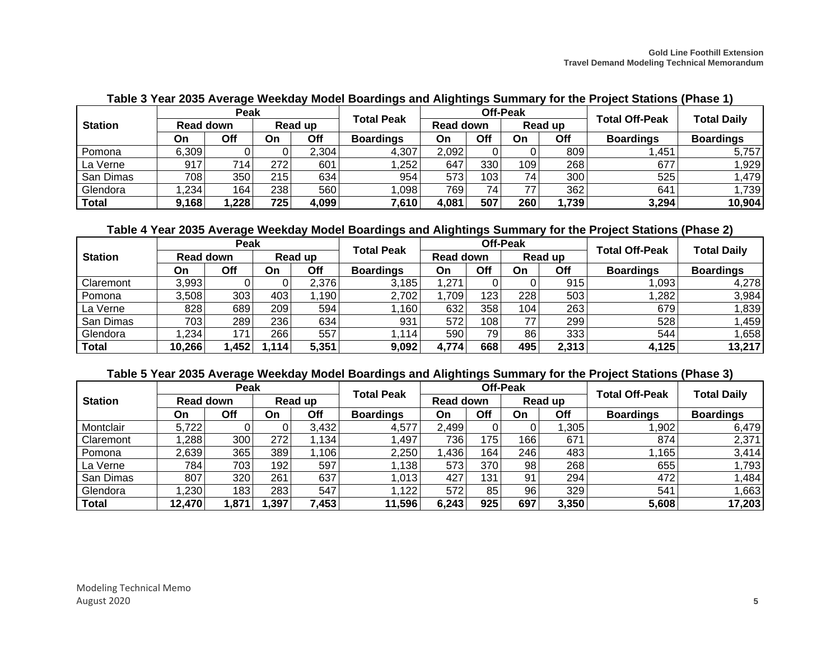|                |           | Peak |         |       |                   |           |     | <b>Off-Peak</b> |       | <b>Total Off-Peak</b> | <b>Total Daily</b> |  |
|----------------|-----------|------|---------|-------|-------------------|-----------|-----|-----------------|-------|-----------------------|--------------------|--|
| <b>Station</b> | Read down |      | Read up |       | <b>Total Peak</b> | Read down |     | Read up         |       |                       |                    |  |
|                | On        | Off  | On      | Off   | <b>Boardings</b>  | On        | Off | On              | Off   | <b>Boardings</b>      | <b>Boardings</b>   |  |
| Pomona         | 6.309     |      |         | 2,304 | 4,307             | 2,092     |     |                 | 809   | ,451                  | 5,757              |  |
| La Verne       | 917       | 714  | 272     | 601   | ,252              | 647       | 330 | 109             | 268   | 677                   | 1,929              |  |
| San Dimas      | 7081      | 350  | 215     | 634   | 954               | 573       | 103 | 74              | 300   | 525                   | 1,479              |  |
| Glendora       | .234      | 164  | 238     | 560   | .098              | 769       | 74  | 77              | 362   | 641                   | 1,739              |  |
| <b>Total</b>   | 9,168     | ,228 | 725     | 4,099 | 7,610             | 4,081     | 507 | 260             | 1,739 | 3,294                 | 10,904             |  |

**Table 3 Year 2035 Average Weekday Model Boardings and Alightings Summary for the Project Stations (Phase 1)**

## **Table 4 Year 2035 Average Weekday Model Boardings and Alightings Summary for the Project Stations (Phase 2)**

<span id="page-9-0"></span>

|                | Peak      |      |          |       |                   |           |                  | <b>Off-Peak</b> |       |                       | <b>Total Daily</b> |  |
|----------------|-----------|------|----------|-------|-------------------|-----------|------------------|-----------------|-------|-----------------------|--------------------|--|
| <b>Station</b> | Read down |      | Read up  |       | <b>Total Peak</b> | Read down |                  | Read up         |       | <b>Total Off-Peak</b> |                    |  |
|                | On        | Off  | On       | Off   | <b>Boardings</b>  | On        | Off              | On              | Off   | <b>Boardings</b>      | <b>Boardings</b>   |  |
| Claremont      | 3,993     |      |          | 2,376 | 3,185             | ,271      |                  |                 | 915   | ,093                  | 4,278              |  |
| Pomona         | 3,508     | 303  | 403      | ,190  | 2,702             | .709      | 123 <sub>1</sub> | 228             | 503   | ,282                  | 3,984              |  |
| La Verne       | 828       | 689  | 209      | 594   | 160               | 632       | 358              | 1041            | 263   | 679                   | 1,839              |  |
| San Dimas      | 7031      | 289  | 236      | 634   | 931               | 572       | 108              | 77              | 299   | 528                   | 1,459              |  |
| Glendora       | .234      | 171  | $266 \,$ | 557   | .114              | 590       | 79 I             | 86              | 333   | 544                   | 1,658              |  |
| Total          | 10,266    | ,452 | ا 114,   | 5,351 | 9,092             | 4,774     | 668              | 495             | 2,313 | 4,125                 | 13,217             |  |

## **Table 5 Year 2035 Average Weekday Model Boardings and Alightings Summary for the Project Stations (Phase 3)**

<span id="page-9-2"></span><span id="page-9-1"></span>

|                | Peak             |      |         |       | <b>Total Peak</b> |                  |      | <b>Off-Peak</b>  |       | <b>Total Off-Peak</b> | <b>Total Daily</b> |  |
|----------------|------------------|------|---------|-------|-------------------|------------------|------|------------------|-------|-----------------------|--------------------|--|
| <b>Station</b> | <b>Read down</b> |      | Read up |       |                   | <b>Read down</b> |      | Read up          |       |                       |                    |  |
|                | On               | Off  | On      | Off   | <b>Boardings</b>  | On               | Off  | <b>On</b>        | Off   | <b>Boardings</b>      | <b>Boardings</b>   |  |
| Montclair      | 5,722            |      |         | 3,432 | 4,577             | 2,499            |      |                  | ,305  | ,902                  | 6,479              |  |
| Claremont      | ,288             | 300  | 272     | .134  | ,497              | 736              | 175  | 166 <sub>1</sub> | 671   | 874                   | 2,371              |  |
| Pomona         | 2,639            | 365  | 389     | ,106  | 2,250             | ,436             | 164  | 246              | 483   | ,165                  | 3,414              |  |
| La Verne       | 784              | 703  | 192     | 597   | ,138              | 573              | 370  | 98               | 268   | 655                   | 1,793              |  |
| San Dimas      | 807              | 320  | 261     | 637   | ,013              | 427              | 131. | 91               | 294   | 472                   | <b>1,484</b>       |  |
| Glendora       | .230             | 183  | 283     | 547   | .122              | 572              | 85   | 96               | 329   | 541                   | .663               |  |
| <b>Total</b>   | 12,470           | ,871 | ,397    | 7,453 | 11,596            | 6,243            | 925  | 697              | 3,350 | 5,608                 | 17,203             |  |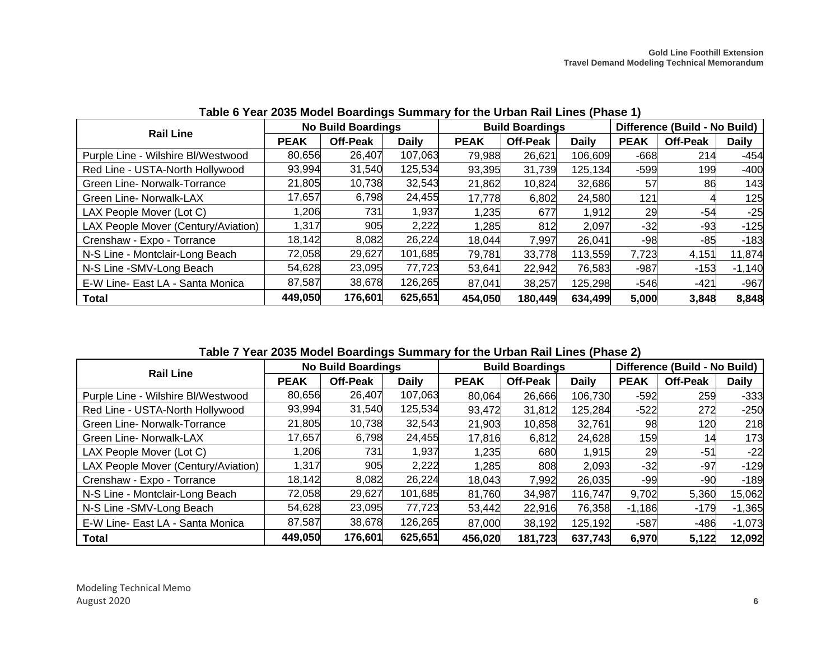| <b>Rail Line</b>                    |             | <b>No Build Boardings</b> |              |             | <b>Build Boardings</b> |              |             | Difference (Build - No Build) |              |
|-------------------------------------|-------------|---------------------------|--------------|-------------|------------------------|--------------|-------------|-------------------------------|--------------|
|                                     | <b>PEAK</b> | <b>Off-Peak</b>           | <b>Daily</b> | <b>PEAK</b> | <b>Off-Peak</b>        | <b>Daily</b> | <b>PEAK</b> | <b>Off-Peak</b>               | <b>Daily</b> |
| Purple Line - Wilshire BI/Westwood  | 80,656      | 26,407                    | 107,063      | 79,988      | 26,621                 | 106,609      | $-668$      | 214                           | $-454$       |
| Red Line - USTA-North Hollywood     | 93,994      | 31,540                    | 125,534      | 93,395      | 31,739                 | 125,134      | $-599$      | 199                           | $-400$       |
| Green Line- Norwalk-Torrance        | 21,805      | 10,738                    | 32,543       | 21,862      | 10,824                 | 32,686       | 57          | 86                            | 143          |
| Green Line- Norwalk-LAX             | 17,657      | 6,798                     | 24,455       | 17,778      | 6,802                  | 24,580       | 121         |                               | 125          |
| LAX People Mover (Lot C)            | 1,206       | 731                       | 1,937        | 1,235       | 677                    | 1,912        | 29          | -54                           | $-25$        |
| LAX People Mover (Century/Aviation) | 1,317       | 905                       | 2,222        | 1,285       | 812                    | 2,097        | $-32$       | -93                           | $-125$       |
| Crenshaw - Expo - Torrance          | 18,142      | 8,082                     | 26,224       | 18,044      | 7,997                  | 26,041       | -98         | -85                           | $-183$       |
| N-S Line - Montclair-Long Beach     | 72,058      | 29,627                    | 101,685      | 79,781      | 33,778                 | 113,559      | 7,723       | 4,151                         | 11,874       |
| N-S Line - SMV-Long Beach           | 54,628      | 23,095                    | 77,723       | 53,641      | 22,942                 | 76,583       | $-987$      | $-153$                        | $-1,140$     |
| E-W Line- East LA - Santa Monica    | 87,587      | 38,678                    | 126,265      | 87,041      | 38,257                 | 125,298      | $-546$      | -421                          | $-967$       |
| <b>Total</b>                        | 449,050     | 176,601                   | 625,651      | 454,050     | 180,449                | 634,499      | 5,000       | 3,848                         | 8,848        |

**Table 6 Year 2035 Model Boardings Summary for the Urban Rail Lines (Phase 1)**

**Table 7 Year 2035 Model Boardings Summary for the Urban Rail Lines (Phase 2)**

<span id="page-10-1"></span><span id="page-10-0"></span>

| <b>Rail Line</b>                    |             | <b>No Build Boardings</b> |              |             | <b>Build Boardings</b> |              |             | Difference (Build - No Build) |              |
|-------------------------------------|-------------|---------------------------|--------------|-------------|------------------------|--------------|-------------|-------------------------------|--------------|
|                                     | <b>PEAK</b> | <b>Off-Peak</b>           | <b>Daily</b> | <b>PEAK</b> | <b>Off-Peak</b>        | <b>Daily</b> | <b>PEAK</b> | <b>Off-Peak</b>               | <b>Daily</b> |
| Purple Line - Wilshire BI/Westwood  | 80,656      | 26,407                    | 107,063      | 80,064      | 26,666                 | 106,730      | $-592$      | 259                           | -333         |
| Red Line - USTA-North Hollywood     | 93,994      | 31,540                    | 125,534      | 93,472      | 31,812                 | 125,284      | $-522$      | 272                           | -250         |
| Green Line- Norwalk-Torrance        | 21,805      | 10,738                    | 32,543       | 21,903      | 10,858                 | 32,761       | 98          | 120                           | 218          |
| Green Line- Norwalk-LAX             | 17,657      | 6,798                     | 24,455       | 17,816      | 6,812                  | 24,628       | 159         | 14                            | 173          |
| LAX People Mover (Lot C)            | 1,206       | 731                       | 1,937        | 1,235       | 680                    | 1,915        | 29          | $-51$                         | $-22$        |
| LAX People Mover (Century/Aviation) | 1,317       | 905                       | 2,222        | 1,285       | 808                    | 2,093        | $-32$       | $-97$                         | $-129$       |
| Crenshaw - Expo - Torrance          | 18,142      | 8,082                     | 26,224       | 18,043      | 7,992                  | 26,035       | -99         | $-90$                         | $-189$       |
| N-S Line - Montclair-Long Beach     | 72,058      | 29,627                    | 101,685      | 81,760      | 34,987                 | 116,747      | 9,702       | 5,360                         | 15,062       |
| N-S Line - SMV-Long Beach           | 54,628      | 23,095                    | 77,723       | 53,442      | 22,916                 | 76,358       | $-1,186$    | $-179$                        | $-1,365$     |
| E-W Line- East LA - Santa Monica    | 87,587      | 38,678                    | 126,265      | 87,000      | 38,192                 | 125,192      | $-587$      | $-486$                        | $-1,073$     |
| Total                               | 449,050     | 176,601                   | 625,651      | 456,020     | 181,723                | 637,743      | 6,970       | 5,122                         | 12,092       |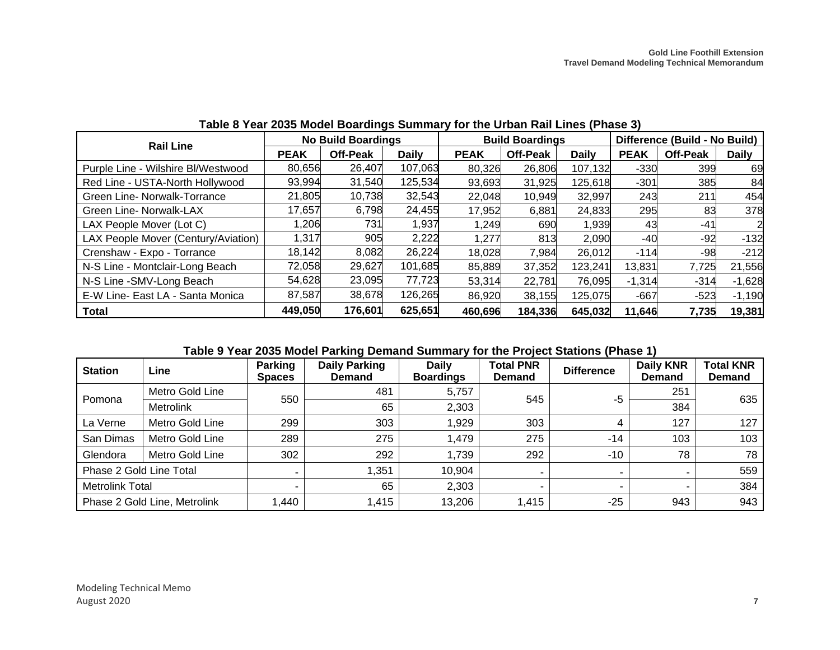| <b>Rail Line</b>                    |             | <b>No Build Boardings</b> |              |             | <b>Build Boardings</b> |              |             | Difference (Build - No Build) |              |
|-------------------------------------|-------------|---------------------------|--------------|-------------|------------------------|--------------|-------------|-------------------------------|--------------|
|                                     | <b>PEAK</b> | <b>Off-Peak</b>           | <b>Daily</b> | <b>PEAK</b> | <b>Off-Peak</b>        | <b>Daily</b> | <b>PEAK</b> | Off-Peak                      | <b>Daily</b> |
| Purple Line - Wilshire Bl/Westwood  | 80,656      | 26,407                    | 107,063      | 80,326      | 26,806                 | 107,132      | $-330$      | 399                           | 69           |
| Red Line - USTA-North Hollywood     | 93,994      | 31,540                    | 125,534      | 93,693      | 31,925                 | 125,618      | $-301$      | 385                           | 84           |
| Green Line- Norwalk-Torrance        | 21,805      | 10,738                    | 32,543       | 22,048      | 10,949                 | 32,997       | 243         | 211                           | 454          |
| Green Line- Norwalk-LAX             | 17,657      | 6,798                     | 24,455       | 17,952      | 6,881                  | 24,833       | 295         | 83                            | 378          |
| LAX People Mover (Lot C)            | ,206        | 731                       | 1,937        | 1,249       | 690                    | 1,939        | 43          | -41                           | 2            |
| LAX People Mover (Century/Aviation) | 1,317       | 905                       | 2,222        | 1,277       | 813                    | 2,090        | -40         | -92                           | $-132$       |
| Crenshaw - Expo - Torrance          | 18,142      | 8,082                     | 26,224       | 18,028      | 7,984                  | 26,012       | $-114$      | -98                           | $-212$       |
| N-S Line - Montclair-Long Beach     | 72,058      | 29,627                    | 101,685      | 85,889      | 37,352                 | 123,241      | 13,831      | 7,725                         | 21,556       |
| N-S Line - SMV-Long Beach           | 54,628      | 23,095                    | 77,723       | 53,314      | 22,781                 | 76,095       | $-1,314$    | $-314$                        | $-1,628$     |
| E-W Line- East LA - Santa Monica    | 87,587      | 38,678                    | 126,265      | 86,920      | 38,155                 | 125,075      | $-667$      | $-523$                        | $-1,190$     |
| <b>Total</b>                        | 449,050     | 176,601                   | 625,651      | 460,696     | 184,336                | 645,032      | 11,646      | 7,735                         | 19,381       |

## **Table 8 Year 2035 Model Boardings Summary for the Urban Rail Lines (Phase 3)**

#### **Table 9 Year 2035 Model Parking Demand Summary for the Project Stations (Phase 1)**

<span id="page-11-1"></span><span id="page-11-0"></span>

| <b>Station</b>          | Line                         | <b>Parking</b><br><b>Spaces</b> | <b>Daily Parking</b><br><b>Demand</b> | <b>Daily</b><br><b>Boardings</b> | <b>Total PNR</b><br><b>Demand</b> | <b>Difference</b> | <b>Daily KNR</b><br><b>Demand</b> | <b>Total KNR</b><br><b>Demand</b> |
|-------------------------|------------------------------|---------------------------------|---------------------------------------|----------------------------------|-----------------------------------|-------------------|-----------------------------------|-----------------------------------|
|                         | Metro Gold Line              | 550                             | 481                                   | 5,757                            | 545                               | -5                | 251                               | 635                               |
| Pomona                  | <b>Metrolink</b>             |                                 | 65                                    | 2,303                            |                                   |                   | 384                               |                                   |
| La Verne                | Metro Gold Line              | 299                             | 303                                   | 1,929                            | 303                               |                   | 127                               | 127                               |
| San Dimas               | Metro Gold Line              | 289                             | 275                                   | 1,479                            | 275                               | $-14$             | 103                               | 103                               |
| Glendora                | Metro Gold Line              | 302                             | 292                                   | 1,739                            | 292                               | -10               | 78                                | 78                                |
| Phase 2 Gold Line Total |                              |                                 | 1,351                                 | 10,904                           |                                   | - 1               |                                   | 559                               |
| <b>Metrolink Total</b>  |                              |                                 | 65                                    | 2,303                            |                                   |                   |                                   | 384                               |
|                         | Phase 2 Gold Line, Metrolink | 1,440                           | 1,415                                 | 13,206                           | 1,415                             | $-25$             | 943                               | 943                               |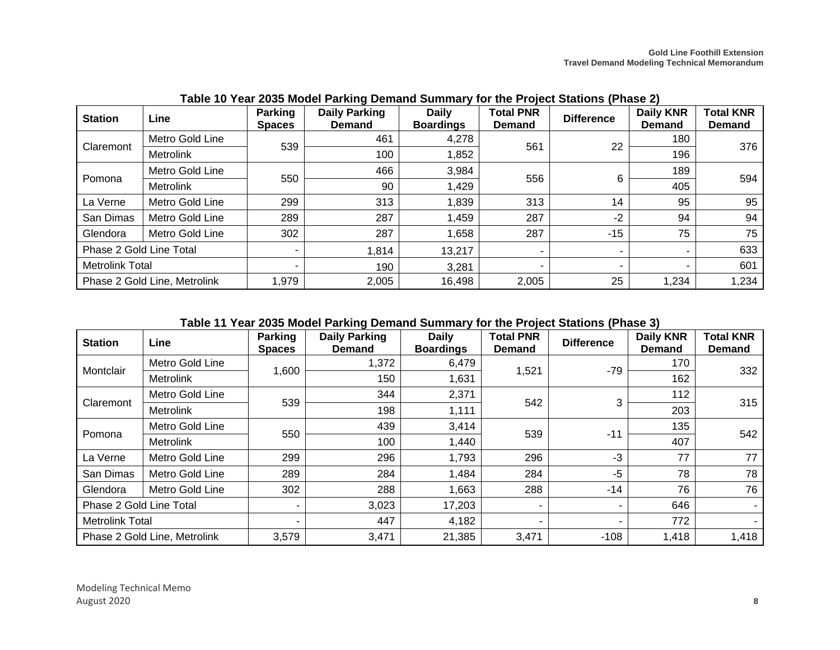| <b>Station</b>          | Line                         | <b>Parking</b><br><b>Spaces</b> | <b>Daily Parking</b><br><b>Demand</b> | <b>Daily</b><br><b>Boardings</b> | <b>Total PNR</b><br><b>Demand</b> | <b>Difference</b> | <b>Daily KNR</b><br><b>Demand</b> | <b>Total KNR</b><br><b>Demand</b> |
|-------------------------|------------------------------|---------------------------------|---------------------------------------|----------------------------------|-----------------------------------|-------------------|-----------------------------------|-----------------------------------|
| Claremont               | Metro Gold Line              | 539                             | 461                                   | 4,278                            | 561                               | 22                | 180                               | 376                               |
|                         | Metrolink                    |                                 | 100                                   | 1,852                            |                                   |                   | 196                               |                                   |
| Pomona                  | Metro Gold Line              | 550                             | 466                                   | 3,984                            | 556                               | 6                 | 189                               | 594                               |
|                         | Metrolink                    |                                 | 90                                    | 1,429                            |                                   |                   | 405                               |                                   |
| La Verne                | Metro Gold Line              | 299                             | 313                                   | 1,839                            | 313                               | 14                | 95                                | 95                                |
| San Dimas               | Metro Gold Line              | 289                             | 287                                   | 1,459                            | 287                               | $-2$              | 94                                | 94                                |
| Glendora                | Metro Gold Line              | 302                             | 287                                   | 1,658                            | 287                               | $-15$             | 75                                | 75                                |
| Phase 2 Gold Line Total |                              |                                 | 1,814                                 | 13,217                           | ۰.                                |                   |                                   | 633                               |
| <b>Metrolink Total</b>  |                              |                                 | 190                                   | 3,281                            | $\overline{\phantom{a}}$          |                   |                                   | 601                               |
|                         | Phase 2 Gold Line, Metrolink | 1,979                           | 2,005                                 | 16,498                           | 2,005                             | 25                | 1,234                             | 1,234                             |

**Table 10 Year 2035 Model Parking Demand Summary for the Project Stations (Phase 2)**

### **Table 11 Year 2035 Model Parking Demand Summary for the Project Stations (Phase 3)**

<span id="page-12-1"></span><span id="page-12-0"></span>

| <b>Station</b>               | Line             | <b>Parking</b><br><b>Spaces</b> | <b>Daily Parking</b><br><b>Demand</b> | <b>Daily</b><br><b>Boardings</b> | <b>Total PNR</b><br><b>Demand</b> | <b>Difference</b> | <b>Daily KNR</b><br><b>Demand</b> | <b>Total KNR</b><br><b>Demand</b> |
|------------------------------|------------------|---------------------------------|---------------------------------------|----------------------------------|-----------------------------------|-------------------|-----------------------------------|-----------------------------------|
|                              | Metro Gold Line  |                                 | 1,372                                 | 6,479                            | 1,521                             | $-79$             | 170                               | 332                               |
| Montclair                    | <b>Metrolink</b> | 1,600                           | 150                                   | 1,631                            |                                   |                   | 162                               |                                   |
|                              | Metro Gold Line  | 539                             | 344                                   | 2,371                            | 542                               | 3                 | 112                               | 315                               |
| Claremont                    | <b>Metrolink</b> |                                 | 198                                   | 1,111                            |                                   |                   | 203                               |                                   |
| Pomona                       | Metro Gold Line  | 550                             | 439                                   | 3,414                            | 539                               | $-11$             | 135                               | 542                               |
|                              | <b>Metrolink</b> |                                 | 100                                   | 1,440                            |                                   |                   | 407                               |                                   |
| La Verne                     | Metro Gold Line  | 299                             | 296                                   | 1,793                            | 296                               | $-3$              | 77                                | 77                                |
| San Dimas                    | Metro Gold Line  | 289                             | 284                                   | 1,484                            | 284                               | -5                | 78                                | 78                                |
| Glendora                     | Metro Gold Line  | 302                             | 288                                   | 1,663                            | 288                               | -14               | 76                                | 76                                |
| Phase 2 Gold Line Total      |                  | ۰.                              | 3,023                                 | 17,203                           | ٠                                 |                   | 646                               |                                   |
| <b>Metrolink Total</b>       |                  | ۰.                              | 447                                   | 4,182                            | $\overline{\phantom{a}}$          | -                 | 772                               |                                   |
| Phase 2 Gold Line, Metrolink |                  | 3,579                           | 3,471                                 | 21,385                           | 3,471                             | $-108$            | 1,418                             | 1,418                             |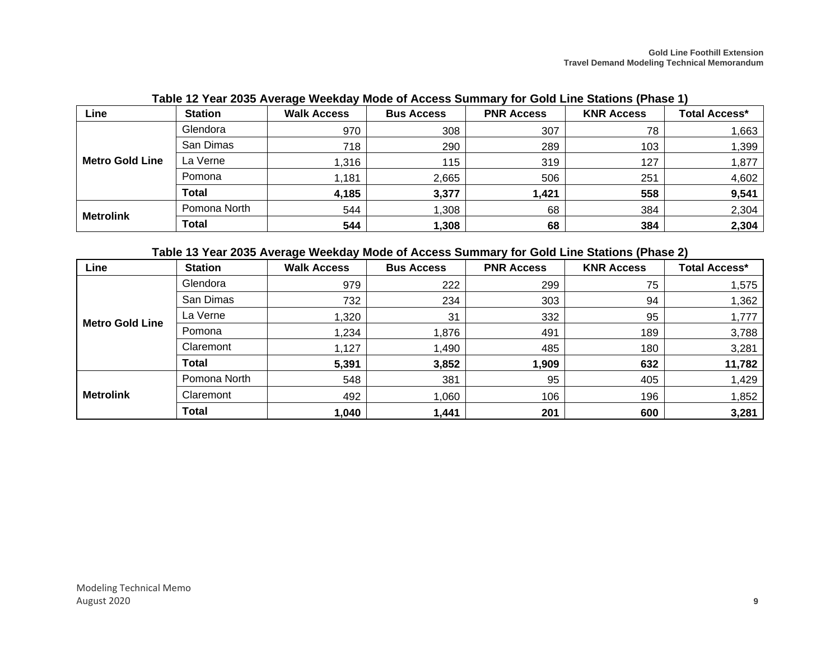| $1.0000$ is 1900 to 2000 to 2000 to 2000 and 2000 and 2000 and 2000 and 2000 sections and 2000 is the 2000 to 2000 $\pm$ |                |                    |                   |                   |                   |                      |
|--------------------------------------------------------------------------------------------------------------------------|----------------|--------------------|-------------------|-------------------|-------------------|----------------------|
| Line                                                                                                                     | <b>Station</b> | <b>Walk Access</b> | <b>Bus Access</b> | <b>PNR Access</b> | <b>KNR Access</b> | <b>Total Access*</b> |
|                                                                                                                          | Glendora       | 970                | 308               | 307               | 78                | 1,663                |
|                                                                                                                          | San Dimas      | 718                | 290               | 289               | 103               | 1,399                |
| <b>Metro Gold Line</b>                                                                                                   | La Verne       | 1,316              | 115               | 319               | 127               | 1,877                |
|                                                                                                                          | Pomona         | 1,181              | 2,665             | 506               | 251               | 4,602                |
|                                                                                                                          | Total          | 4,185              | 3,377             | 1,421             | 558               | 9,541                |
| <b>Metrolink</b>                                                                                                         | Pomona North   | 544                | 1,308             | 68                | 384               | 2,304                |
|                                                                                                                          | Total          | 544                | 1,308             | 68                | 384               | 2,304                |

**Table 12 Year 2035 Average Weekday Mode of Access Summary for Gold Line Stations (Phase 1)**

## **Table 13 Year 2035 Average Weekday Mode of Access Summary for Gold Line Stations (Phase 2)**

<span id="page-13-2"></span><span id="page-13-1"></span><span id="page-13-0"></span>

| Line                   | <b>Station</b> | <b>Walk Access</b> | <b>Bus Access</b> | <b>PNR Access</b> | <b>KNR Access</b> | <b>Total Access*</b> |
|------------------------|----------------|--------------------|-------------------|-------------------|-------------------|----------------------|
|                        | Glendora       | 979                | 222               | 299               | 75                | ,575                 |
|                        | San Dimas      | 732                | 234               | 303               | 94                | ,362                 |
| <b>Metro Gold Line</b> | La Verne       | 1,320              | 31                | 332               | 95                | 1,777                |
|                        | Pomona         | 1,234              | 1,876             | 491               | 189               | 3,788                |
|                        | Claremont      | 1,127              | 1,490             | 485               | 180               | 3,281                |
|                        | <b>Total</b>   | 5,391              | 3,852             | 1,909             | 632               | 11,782               |
|                        | Pomona North   | 548                | 381               | 95                | 405               | 1,429                |
| <b>Metrolink</b>       | Claremont      | 492                | 1,060             | 106               | 196               | 1,852                |
|                        | <b>Total</b>   | 1,040              | 1,441             | 201               | 600               | 3,281                |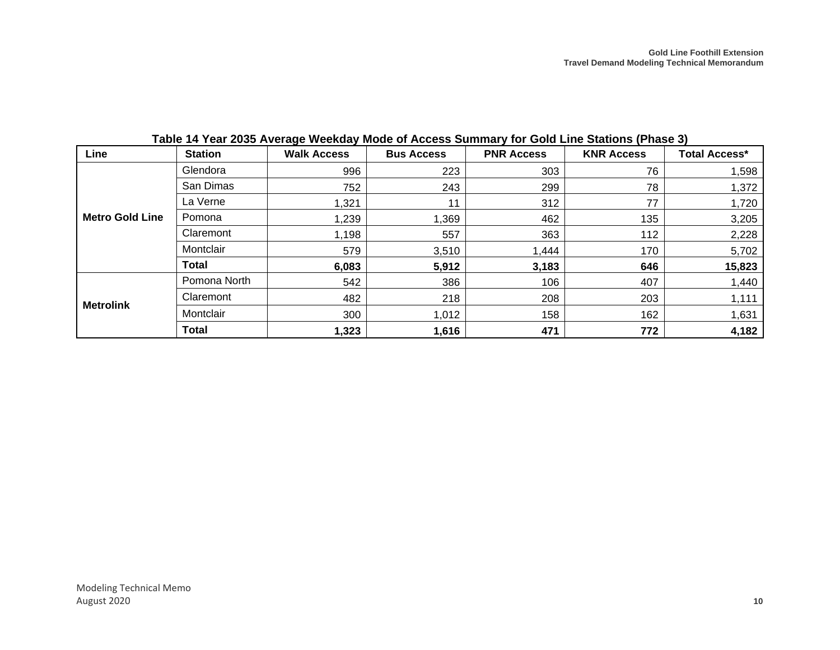<span id="page-14-0"></span>

| Line                   | <b>Station</b> | <b>Walk Access</b> | <b>Bus Access</b> | <b>PNR Access</b> | <b>KNR Access</b> | <b>Total Access*</b> |
|------------------------|----------------|--------------------|-------------------|-------------------|-------------------|----------------------|
|                        | Glendora       | 996                | 223               | 303               | 76                | 1,598                |
|                        | San Dimas      | 752                | 243               | 299               | 78                | 1,372                |
|                        | La Verne       | 1,321              | 11                | 312               | 77                | 1,720                |
| <b>Metro Gold Line</b> | Pomona         | 1,239              | 1,369             | 462               | 135               | 3,205                |
|                        | Claremont      | 1,198              | 557               | 363               | 112               | 2,228                |
|                        | Montclair      | 579                | 3,510             | 1,444             | 170               | 5,702                |
|                        | <b>Total</b>   | 6,083              | 5,912             | 3,183             | 646               | 15,823               |
|                        | Pomona North   | 542                | 386               | 106               | 407               | 1,440                |
| <b>Metrolink</b>       | Claremont      | 482                | 218               | 208               | 203               | 1,111                |
|                        | Montclair      | 300                | 1,012             | 158               | 162               | 1,631                |
|                        | <b>Total</b>   | 1,323              | 1,616             | 471               | 772               | 4,182                |

**Table 14 Year 2035 Average Weekday Mode of Access Summary for Gold Line Stations (Phase 3)**